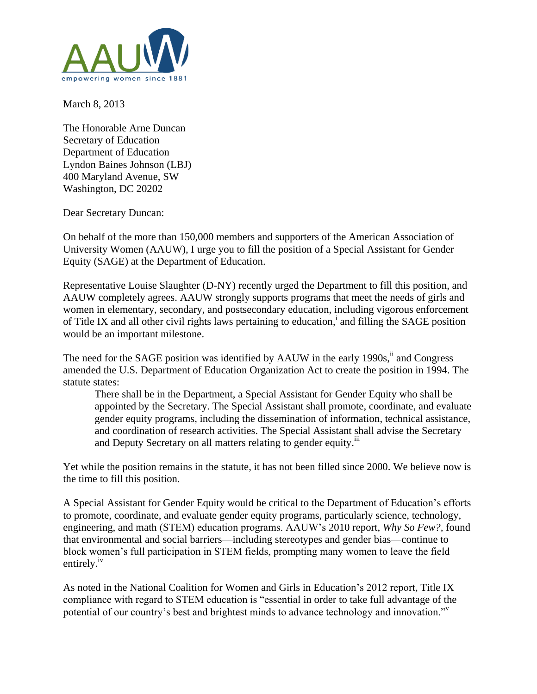

March 8, 2013

The Honorable Arne Duncan Secretary of Education Department of Education Lyndon Baines Johnson (LBJ) 400 Maryland Avenue, SW Washington, DC 20202

Dear Secretary Duncan:

On behalf of the more than 150,000 members and supporters of the American Association of University Women (AAUW), I urge you to fill the position of a Special Assistant for Gender Equity (SAGE) at the Department of Education.

Representative Louise Slaughter (D-NY) recently urged the Department to fill this position, and AAUW completely agrees. AAUW strongly supports programs that meet the needs of girls and women in elementary, secondary, and postsecondary education, including vigorous enforcement of Title IX and all other civil rights laws pertaining to education,<sup>i</sup> and filling the SAGE position would be an important milestone.

The need for the SAGE position was identified by AAUW in the early 1990s, <sup>ii</sup> and Congress amended the U.S. Department of Education Organization Act to create the position in 1994. The statute states:

There shall be in the Department, a Special Assistant for Gender Equity who shall be appointed by the Secretary. The Special Assistant shall promote, coordinate, and evaluate gender equity programs, including the dissemination of information, technical assistance, and coordination of research activities. The Special Assistant shall advise the Secretary and Deputy Secretary on all matters relating to gender equity.<sup>iii</sup>

Yet while the position remains in the statute, it has not been filled since 2000. We believe now is the time to fill this position.

A Special Assistant for Gender Equity would be critical to the Department of Education's efforts to promote, coordinate, and evaluate gender equity programs, particularly science, technology, engineering, and math (STEM) education programs. AAUW's 2010 report, *Why So Few?,* found that environmental and social barriers—including stereotypes and gender bias—continue to block women's full participation in STEM fields, prompting many women to leave the field entirely.<sup>iv</sup>

As noted in the National Coalition for Women and Girls in Education's 2012 report, Title IX compliance with regard to STEM education is "essential in order to take full advantage of the potential of our country's best and brightest minds to advance technology and innovation."<sup>v</sup>